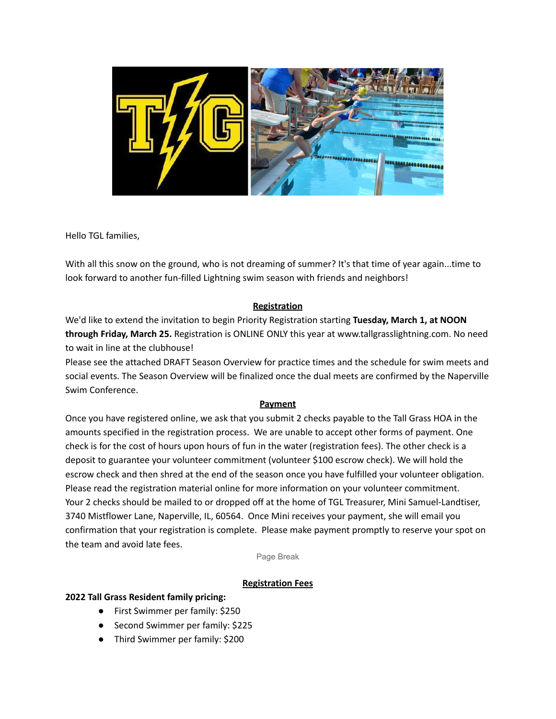

Hello TGL families,

With all this snow on the ground, who is not dreaming of summer? It's that time of year again...time to look forward to another fun-filled Lightning swim season with friends and neighbors!

## **Registration**

We'd like to extend the invitation to begin Priority Registration starting **Tuesday, March 1, at NOON through Friday, March 25.** Registration is ONLINE ONLY this year at www.tallgrasslightning.com. No need to wait in line at the clubhouse!

Please see the attached DRAFT Season Overview for practice times and the schedule for swim meets and social events. The Season Overview will be finalized once the dual meets are confirmed by the Naperville Swim Conference.

#### **Payment**

Once you have registered online, we ask that you submit 2 checks payable to the Tall Grass HOA in the amounts specified in the registration process. We are unable to accept other forms of payment. One check is for the cost of hours upon hours of fun in the water (registration fees). The other check is a deposit to guarantee your volunteer commitment (volunteer \$100 escrow check). We will hold the escrow check and then shred at the end of the season once you have fulfilled your volunteer obligation. Please read the registration material online for more information on your volunteer commitment. Your 2 checks should be mailed to or dropped off at the home of TGL Treasurer, Mini Samuel-Landtiser, 3740 Mistflower Lane, Naperville, IL, 60564. Once Mini receives your payment, she will email you confirmation that your registration is complete. Please make payment promptly to reserve your spot on the team and avoid late fees.

Page Break

## **Registration Fees**

#### **2022 Tall Grass Resident family pricing:**

- First Swimmer per family: \$250
- Second Swimmer per family: \$225
- Third Swimmer per family: \$200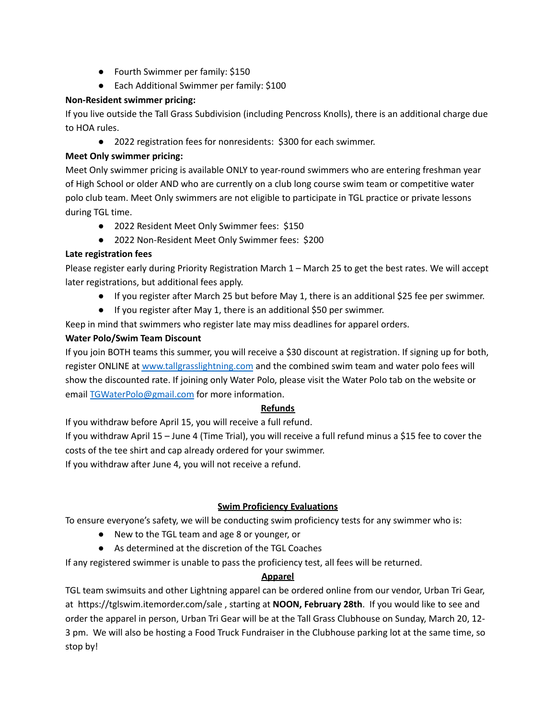- Fourth Swimmer per family: \$150
- Each Additional Swimmer per family: \$100

#### **Non-Resident swimmer pricing:**

If you live outside the Tall Grass Subdivision (including Pencross Knolls), there is an additional charge due to HOA rules.

● 2022 registration fees for nonresidents: \$300 for each swimmer.

## **Meet Only swimmer pricing:**

Meet Only swimmer pricing is available ONLY to year-round swimmers who are entering freshman year of High School or older AND who are currently on a club long course swim team or competitive water polo club team. Meet Only swimmers are not eligible to participate in TGL practice or private lessons during TGL time.

- 2022 Resident Meet Only Swimmer fees: \$150
- 2022 Non-Resident Meet Only Swimmer fees: \$200

## **Late registration fees**

Please register early during Priority Registration March 1 – March 25 to get the best rates. We will accept later registrations, but additional fees apply.

- If you register after March 25 but before May 1, there is an additional \$25 fee per swimmer.
- If you register after May 1, there is an additional \$50 per swimmer.

Keep in mind that swimmers who register late may miss deadlines for apparel orders.

## **Water Polo/Swim Team Discount**

If you join BOTH teams this summer, you will receive a \$30 discount at registration. If signing up for both, register ONLINE at [www.tallgrasslightning.com](http://www.tallgrasslightning.com/) and the combined swim team and water polo fees will show the discounted rate. If joining only Water Polo, please visit the Water Polo tab on the website or email TGWaterPolo@gmail.com for more information.

## **Refunds**

If you withdraw before April 15, you will receive a full refund.

If you withdraw April 15 – June 4 (Time Trial), you will receive a full refund minus a \$15 fee to cover the costs of the tee shirt and cap already ordered for your swimmer.

If you withdraw after June 4, you will not receive a refund.

# **Swim Proficiency Evaluations**

To ensure everyone's safety, we will be conducting swim proficiency tests for any swimmer who is:

- New to the TGL team and age 8 or younger, or
- As determined at the discretion of the TGL Coaches

If any registered swimmer is unable to pass the proficiency test, all fees will be returned.

## **Apparel**

TGL team swimsuits and other Lightning apparel can be ordered online from our vendor, Urban Tri Gear, at https://tglswim.itemorder.com/sale , starting at **NOON, February 28th**. If you would like to see and order the apparel in person, Urban Tri Gear will be at the Tall Grass Clubhouse on Sunday, March 20, 12- 3 pm. We will also be hosting a Food Truck Fundraiser in the Clubhouse parking lot at the same time, so stop by!